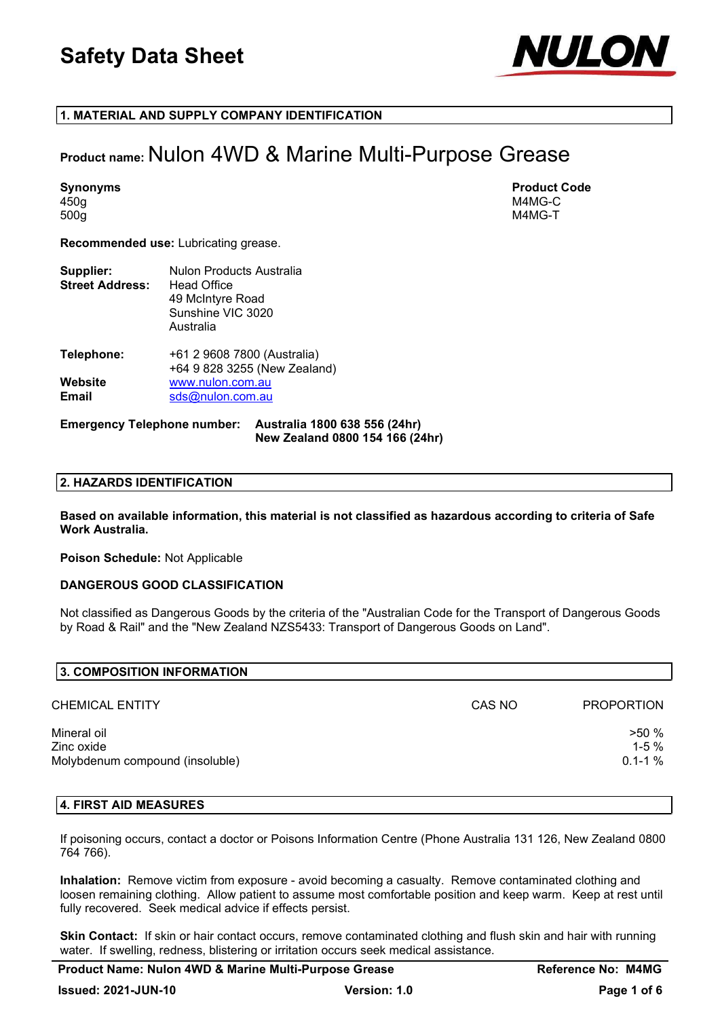

## 1. MATERIAL AND SUPPLY COMPANY IDENTIFICATION

## Product name: Nulon 4WD & Marine Multi-Purpose Grease

450g M4MG-C 500g M4MG-T

Synonyms Product Code

Recommended use: Lubricating grease.

| Supplier:<br><b>Street Address:</b> | Nulon Products Australia<br>Head Office<br>49 McIntyre Road<br>Sunshine VIC 3020<br>Australia |
|-------------------------------------|-----------------------------------------------------------------------------------------------|
| <b>Telephone:</b>                   | +61 2 9608 7800 (Australia)<br>+64 9 828 3255 (New Zealand)                                   |
| Website<br>Email                    | www.nulon.com.au<br>sds@nulon.com.au                                                          |

#### Emergency Telephone number: Australia 1800 638 556 (24hr) New Zealand 0800 154 166 (24hr)

## 2. HAZARDS IDENTIFICATION

Based on available information, this material is not classified as hazardous according to criteria of Safe Work Australia.

Poison Schedule: Not Applicable

## DANGEROUS GOOD CLASSIFICATION

Not classified as Dangerous Goods by the criteria of the "Australian Code for the Transport of Dangerous Goods by Road & Rail" and the "New Zealand NZS5433: Transport of Dangerous Goods on Land".

| 3. COMPOSITION INFORMATION                                   |        |                                    |
|--------------------------------------------------------------|--------|------------------------------------|
| CHEMICAL ENTITY                                              | CAS NO | <b>PROPORTION</b>                  |
| Mineral oil<br>Zinc oxide<br>Molybdenum compound (insoluble) |        | $>50\%$<br>$1 - 5%$<br>$0.1 - 1\%$ |

## 4. FIRST AID MEASURES

If poisoning occurs, contact a doctor or Poisons Information Centre (Phone Australia 131 126, New Zealand 0800 764 766).

Inhalation: Remove victim from exposure - avoid becoming a casualty. Remove contaminated clothing and loosen remaining clothing. Allow patient to assume most comfortable position and keep warm. Keep at rest until fully recovered. Seek medical advice if effects persist.

Skin Contact: If skin or hair contact occurs, remove contaminated clothing and flush skin and hair with running water. If swelling, redness, blistering or irritation occurs seek medical assistance.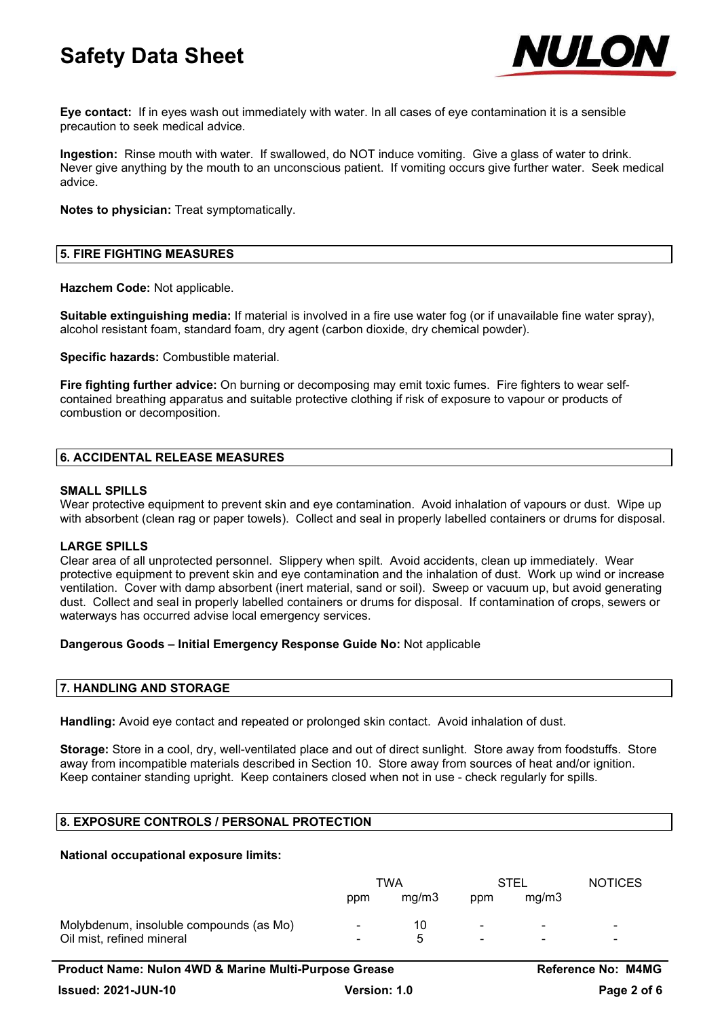

Eye contact: If in eyes wash out immediately with water. In all cases of eye contamination it is a sensible precaution to seek medical advice.

Ingestion: Rinse mouth with water. If swallowed, do NOT induce vomiting. Give a glass of water to drink. Never give anything by the mouth to an unconscious patient. If vomiting occurs give further water. Seek medical advice.

Notes to physician: Treat symptomatically.

## 5. FIRE FIGHTING MEASURES

Hazchem Code: Not applicable.

Suitable extinguishing media: If material is involved in a fire use water fog (or if unavailable fine water spray), alcohol resistant foam, standard foam, dry agent (carbon dioxide, dry chemical powder).

Specific hazards: Combustible material.

Fire fighting further advice: On burning or decomposing may emit toxic fumes. Fire fighters to wear selfcontained breathing apparatus and suitable protective clothing if risk of exposure to vapour or products of combustion or decomposition.

## 6. ACCIDENTAL RELEASE MEASURES

## SMALL SPILLS

Wear protective equipment to prevent skin and eye contamination. Avoid inhalation of vapours or dust. Wipe up with absorbent (clean rag or paper towels). Collect and seal in properly labelled containers or drums for disposal.

## LARGE SPILLS

Clear area of all unprotected personnel. Slippery when spilt. Avoid accidents, clean up immediately. Wear protective equipment to prevent skin and eye contamination and the inhalation of dust. Work up wind or increase ventilation. Cover with damp absorbent (inert material, sand or soil). Sweep or vacuum up, but avoid generating dust. Collect and seal in properly labelled containers or drums for disposal. If contamination of crops, sewers or waterways has occurred advise local emergency services.

## Dangerous Goods – Initial Emergency Response Guide No: Not applicable

## 7. HANDLING AND STORAGE

Handling: Avoid eye contact and repeated or prolonged skin contact. Avoid inhalation of dust.

Storage: Store in a cool, dry, well-ventilated place and out of direct sunlight. Store away from foodstuffs. Store away from incompatible materials described in Section 10. Store away from sources of heat and/or ignition. Keep container standing upright. Keep containers closed when not in use - check regularly for spills.

## 8. EXPOSURE CONTROLS / PERSONAL PROTECTION

## National occupational exposure limits:

|                                         | TWA                      |       | <b>STEL</b>    |       | <b>NOTICES</b> |
|-----------------------------------------|--------------------------|-------|----------------|-------|----------------|
|                                         | ppm                      | ma/m3 | ppm            | ma/m3 |                |
| Molybdenum, insoluble compounds (as Mo) | $\overline{\phantom{0}}$ | 10    | ۰              | -     | -              |
| Oil mist, refined mineral               | -                        |       | $\blacksquare$ | -     | -              |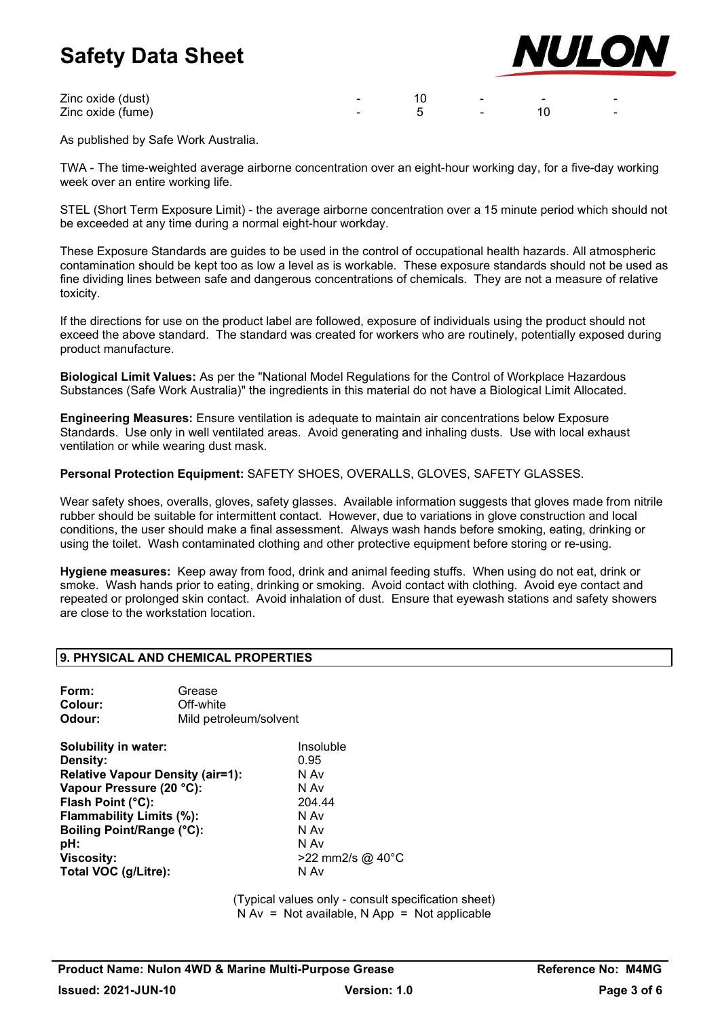zinc oxide (dust) and the set of the set of the set of the set of the set of the set of the set of the set of the set of the set of the set of the set of the set of the set of the set of the set of the set of the set of th Zinc oxide (fume) and the set of the set of the set of the set of the set of the set of the set of the set of the set of the set of the set of the set of the set of the set of the set of the set of the set of the set of th



As published by Safe Work Australia.

TWA - The time-weighted average airborne concentration over an eight-hour working day, for a five-day working week over an entire working life.

STEL (Short Term Exposure Limit) - the average airborne concentration over a 15 minute period which should not be exceeded at any time during a normal eight-hour workday.

These Exposure Standards are guides to be used in the control of occupational health hazards. All atmospheric contamination should be kept too as low a level as is workable. These exposure standards should not be used as fine dividing lines between safe and dangerous concentrations of chemicals. They are not a measure of relative toxicity.

If the directions for use on the product label are followed, exposure of individuals using the product should not exceed the above standard. The standard was created for workers who are routinely, potentially exposed during product manufacture.

Biological Limit Values: As per the "National Model Regulations for the Control of Workplace Hazardous Substances (Safe Work Australia)" the ingredients in this material do not have a Biological Limit Allocated.

Engineering Measures: Ensure ventilation is adequate to maintain air concentrations below Exposure Standards. Use only in well ventilated areas. Avoid generating and inhaling dusts. Use with local exhaust ventilation or while wearing dust mask.

Personal Protection Equipment: SAFETY SHOES, OVERALLS, GLOVES, SAFETY GLASSES.

Wear safety shoes, overalls, gloves, safety glasses. Available information suggests that gloves made from nitrile rubber should be suitable for intermittent contact. However, due to variations in glove construction and local conditions, the user should make a final assessment. Always wash hands before smoking, eating, drinking or using the toilet. Wash contaminated clothing and other protective equipment before storing or re-using.

Hygiene measures: Keep away from food, drink and animal feeding stuffs. When using do not eat, drink or smoke. Wash hands prior to eating, drinking or smoking. Avoid contact with clothing. Avoid eye contact and repeated or prolonged skin contact. Avoid inhalation of dust. Ensure that eyewash stations and safety showers are close to the workstation location.

## 9. PHYSICAL AND CHEMICAL PROPERTIES

| Form:   | Grease                 |
|---------|------------------------|
| Colour: | Off-white              |
| Odour:  | Mild petroleum/solvent |

| Solubility in water:                    | Insoluble        |
|-----------------------------------------|------------------|
| Density:                                | 0.95             |
| <b>Relative Vapour Density (air=1):</b> | N Av             |
| Vapour Pressure (20 °C):                | N Av             |
| Flash Point (°C):                       | 204.44           |
| Flammability Limits (%):                | N Av             |
| <b>Boiling Point/Range (°C):</b>        | N Av             |
| pH:                                     | N Av             |
| <b>Viscosity:</b>                       | >22 mm2/s @ 40°C |
| Total VOC (g/Litre):                    | N Av             |

(Typical values only - consult specification sheet)  $N Av = Not available$ . N App = Not applicable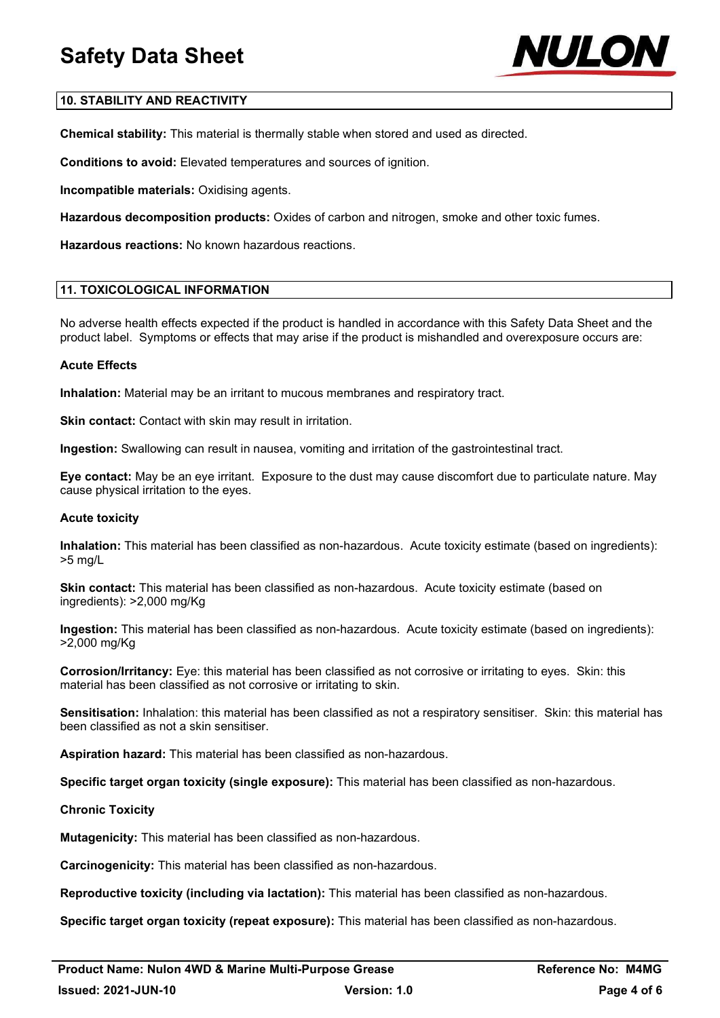

## 10. STABILITY AND REACTIVITY

Chemical stability: This material is thermally stable when stored and used as directed.

Conditions to avoid: Elevated temperatures and sources of ignition.

Incompatible materials: Oxidising agents.

Hazardous decomposition products: Oxides of carbon and nitrogen, smoke and other toxic fumes.

Hazardous reactions: No known hazardous reactions.

## 11. TOXICOLOGICAL INFORMATION

No adverse health effects expected if the product is handled in accordance with this Safety Data Sheet and the product label. Symptoms or effects that may arise if the product is mishandled and overexposure occurs are:

## Acute Effects

Inhalation: Material may be an irritant to mucous membranes and respiratory tract.

Skin contact: Contact with skin may result in irritation.

Ingestion: Swallowing can result in nausea, vomiting and irritation of the gastrointestinal tract.

Eye contact: May be an eye irritant. Exposure to the dust may cause discomfort due to particulate nature. May cause physical irritation to the eyes.

## Acute toxicity

Inhalation: This material has been classified as non-hazardous. Acute toxicity estimate (based on ingredients): >5 mg/L

Skin contact: This material has been classified as non-hazardous. Acute toxicity estimate (based on ingredients): >2,000 mg/Kg

Ingestion: This material has been classified as non-hazardous. Acute toxicity estimate (based on ingredients): >2,000 mg/Kg

Corrosion/Irritancy: Eye: this material has been classified as not corrosive or irritating to eyes. Skin: this material has been classified as not corrosive or irritating to skin.

Sensitisation: Inhalation: this material has been classified as not a respiratory sensitiser. Skin: this material has been classified as not a skin sensitiser.

Aspiration hazard: This material has been classified as non-hazardous.

Specific target organ toxicity (single exposure): This material has been classified as non-hazardous.

## Chronic Toxicity

Mutagenicity: This material has been classified as non-hazardous.

Carcinogenicity: This material has been classified as non-hazardous.

Reproductive toxicity (including via lactation): This material has been classified as non-hazardous.

Specific target organ toxicity (repeat exposure): This material has been classified as non-hazardous.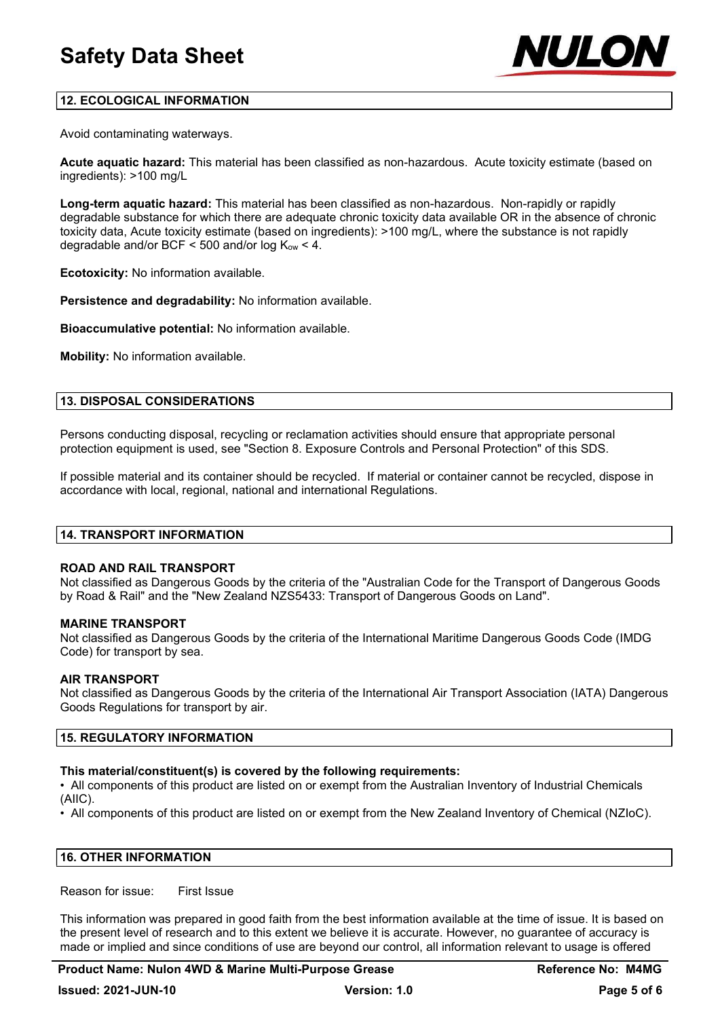

## 12. ECOLOGICAL INFORMATION

Avoid contaminating waterways.

Acute aquatic hazard: This material has been classified as non-hazardous. Acute toxicity estimate (based on ingredients): >100 mg/L

Long-term aquatic hazard: This material has been classified as non-hazardous. Non-rapidly or rapidly degradable substance for which there are adequate chronic toxicity data available OR in the absence of chronic toxicity data, Acute toxicity estimate (based on ingredients): >100 mg/L, where the substance is not rapidly degradable and/or BCF  $\leq$  500 and/or log K<sub>ow</sub>  $\lt$  4.

Ecotoxicity: No information available.

Persistence and degradability: No information available.

Bioaccumulative potential: No information available.

Mobility: No information available.

## 13. DISPOSAL CONSIDERATIONS

Persons conducting disposal, recycling or reclamation activities should ensure that appropriate personal protection equipment is used, see "Section 8. Exposure Controls and Personal Protection" of this SDS.

If possible material and its container should be recycled. If material or container cannot be recycled, dispose in accordance with local, regional, national and international Regulations.

## 14. TRANSPORT INFORMATION

## ROAD AND RAIL TRANSPORT

Not classified as Dangerous Goods by the criteria of the "Australian Code for the Transport of Dangerous Goods by Road & Rail" and the "New Zealand NZS5433: Transport of Dangerous Goods on Land".

## MARINE TRANSPORT

Not classified as Dangerous Goods by the criteria of the International Maritime Dangerous Goods Code (IMDG Code) for transport by sea.

## AIR TRANSPORT

Not classified as Dangerous Goods by the criteria of the International Air Transport Association (IATA) Dangerous Goods Regulations for transport by air.

#### 15. REGULATORY INFORMATION

## This material/constituent(s) is covered by the following requirements:

• All components of this product are listed on or exempt from the Australian Inventory of Industrial Chemicals (AIIC).

• All components of this product are listed on or exempt from the New Zealand Inventory of Chemical (NZIoC).

#### 16. OTHER INFORMATION

Reason for issue: First Issue

This information was prepared in good faith from the best information available at the time of issue. It is based on the present level of research and to this extent we believe it is accurate. However, no guarantee of accuracy is made or implied and since conditions of use are beyond our control, all information relevant to usage is offered